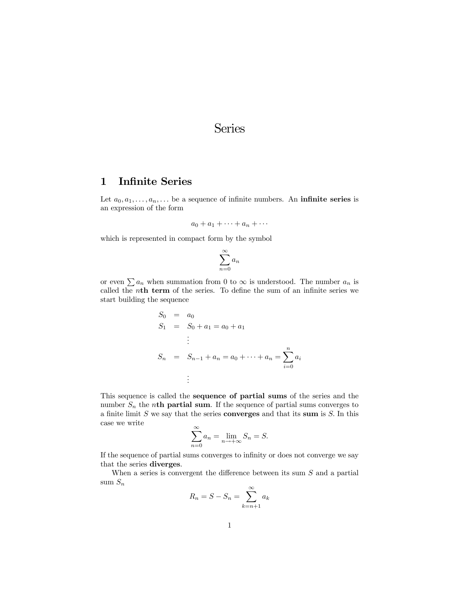# Series

## 1 Infinite Series

Let  $a_0, a_1, \ldots, a_n, \ldots$  be a sequence of infinite numbers. An **infinite series** is an expression of the form

$$
a_0 + a_1 + \cdots + a_n + \cdots
$$

which is represented in compact form by the symbol

$$
\sum_{n=0}^{\infty} a_n
$$

or even  $\sum a_n$  when summation from 0 to  $\infty$  is understood. The number  $a_n$  is called the nth term of the series. To define the sum of an infinite series we start building the sequence

$$
S_0 = a_0
$$
  
\n
$$
S_1 = S_0 + a_1 = a_0 + a_1
$$
  
\n
$$
\vdots
$$
  
\n
$$
S_n = S_{n-1} + a_n = a_0 + \dots + a_n = \sum_{i=0}^n a_i
$$
  
\n
$$
\vdots
$$

This sequence is called the sequence of partial sums of the series and the number  $S_n$  the nth partial sum. If the sequence of partial sums converges to a finite limit  $S$  we say that the series **converges** and that its sum is  $S$ . In this case we write

$$
\sum_{n=0}^{\infty} a_n = \lim_{n \to +\infty} S_n = S.
$$

If the sequence of partial sums converges to infinity or does not converge we say that the series diverges.

When a series is convergent the difference between its sum  $S$  and a partial sum  $S_n$ 

$$
R_n = S - S_n = \sum_{k=n+1}^{\infty} a_k
$$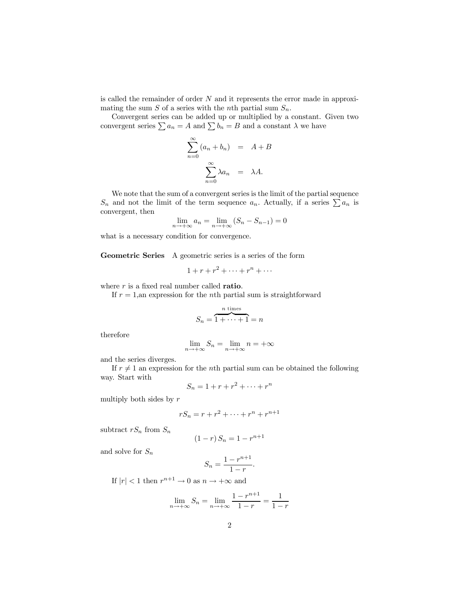is called the remainder of order  $N$  and it represents the error made in approximating the sum  $S$  of a series with the *n*th partial sum  $S_n$ .

Convergent series can be added up or multiplied by a constant. Given two convergent series  $\sum a_n = A$  and  $\sum b_n = B$  and a constant  $\lambda$  we have

$$
\sum_{n=0}^{\infty} (a_n + b_n) = A + B
$$

$$
\sum_{n=0}^{\infty} \lambda a_n = \lambda A.
$$

We note that the sum of a convergent series is the limit of the partial sequence  $S_n$  and not the limit of the term sequence  $a_n$ . Actually, if a series  $\sum a_n$  is convergent, then

$$
\lim_{n \to +\infty} a_n = \lim_{n \to +\infty} (S_n - S_{n-1}) = 0
$$

what is a necessary condition for convergence.

Geometric Series A geometric series is a series of the form

$$
1 + r + r^2 + \dots + r^n + \dots
$$

where  $r$  is a fixed real number called **ratio**.

If  $r = 1$ , an expression for the *n*th partial sum is straightforward

$$
S_n = \overbrace{1 + \dots + 1}^{n \text{ times}} = n
$$

therefore

$$
\lim_{n \to +\infty} S_n = \lim_{n \to +\infty} n = +\infty
$$

and the series diverges.

If  $r \neq 1$  an expression for the nth partial sum can be obtained the following way. Start with

$$
S_n = 1 + r + r^2 + \dots + r^n
$$

multiply both sides by  $r$ 

$$
rS_n = r + r^2 + \dots + r^n + r^{n+1}
$$

subtract  $rS_n$  from  $S_n$ 

$$
(1 - r) S_n = 1 - r^{n+1}
$$

and solve for  $S_n$ 

$$
S_n = \frac{1 - r^{n+1}}{1 - r}.
$$

If  $|r| < 1$  then  $r^{n+1} \to 0$  as  $n \to +\infty$  and

$$
\lim_{n \to +\infty} S_n = \lim_{n \to +\infty} \frac{1 - r^{n+1}}{1 - r} = \frac{1}{1 - r}
$$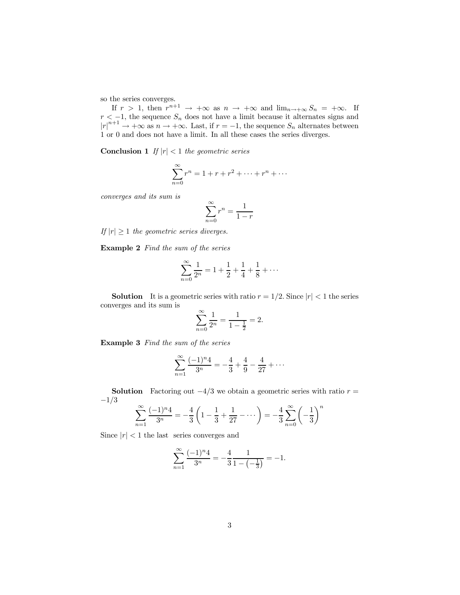so the series converges.

If  $r > 1$ , then  $r^{n+1} \to +\infty$  as  $n \to +\infty$  and  $\lim_{n \to +\infty} S_n = +\infty$ . If  $r < -1$ , the sequence  $S_n$  does not have a limit because it alternates signs and  $|r|^{n+1} \rightarrow +\infty$  as  $n \rightarrow +\infty$ . Last, if  $r = -1$ , the sequence  $S_n$  alternates between 1 or 0 and does not have a limit. In all these cases the series diverges.

**Conclusion 1** If  $|r| < 1$  the geometric series

$$
\sum_{n=0}^{\infty} r^n = 1 + r + r^2 + \dots + r^n + \dots
$$

converges and its sum is

$$
\sum_{n=0}^{\infty} r^n = \frac{1}{1-r}
$$

If  $|r| \geq 1$  the geometric series diverges.

Example 2 Find the sum of the series

$$
\sum_{n=0}^{\infty} \frac{1}{2^n} = 1 + \frac{1}{2} + \frac{1}{4} + \frac{1}{8} + \dots
$$

**Solution** It is a geometric series with ratio  $r = 1/2$ . Since  $|r| < 1$  the series converges and its sum is

$$
\sum_{n=0}^{\infty} \frac{1}{2^n} = \frac{1}{1 - \frac{1}{2}} = 2.
$$

Example 3 Find the sum of the series

$$
\sum_{n=1}^{\infty} \frac{(-1)^n 4}{3^n} = -\frac{4}{3} + \frac{4}{9} - \frac{4}{27} + \cdots
$$

**Solution** Factoring out  $-4/3$  we obtain a geometric series with ratio  $r =$  $-1/3$ 

$$
\sum_{n=1}^{\infty} \frac{(-1)^n 4}{3^n} = -\frac{4}{3} \left( 1 - \frac{1}{3} + \frac{1}{27} - \dots \right) = -\frac{4}{3} \sum_{n=0}^{\infty} \left( -\frac{1}{3} \right)^n
$$

Since  $|r| < 1$  the last series converges and

$$
\sum_{n=1}^{\infty} \frac{(-1)^n 4}{3^n} = -\frac{4}{3} \frac{1}{1 - \left(-\frac{1}{3}\right)} = -1.
$$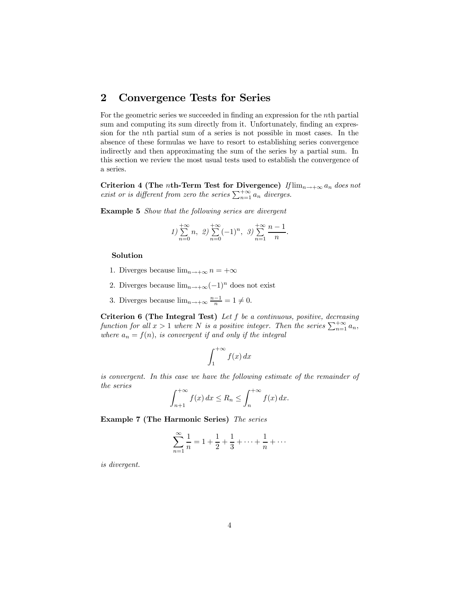# 2 Convergence Tests for Series

For the geometric series we succeeded in finding an expression for the nth partial sum and computing its sum directly from it. Unfortunately, finding an expression for the nth partial sum of a series is not possible in most cases. In the absence of these formulas we have to resort to establishing series convergence indirectly and then approximating the sum of the series by a partial sum. In this section we review the most usual tests used to establish the convergence of a series.

Criterion 4 (The nth-Term Test for Divergence)  $If \lim_{n \to +\infty} a_n$  does not exist or is different from zero the series  $\sum_{n=1}^{+\infty} a_n$  diverges.

Example 5 Show that the following series are divergent

$$
1) \sum_{n=0}^{+\infty} n, \quad 2) \sum_{n=0}^{+\infty} (-1)^n, \quad 3) \sum_{n=1}^{+\infty} \frac{n-1}{n}.
$$

#### Solution

- 1. Diverges because  $\lim_{n\to+\infty} n = +\infty$
- 2. Diverges because  $\lim_{n\to+\infty}(-1)^n$  does not exist
- 3. Diverges because  $\lim_{n\to+\infty}\frac{n-1}{n}=1\neq 0$ .

Criterion 6 (The Integral Test) Let f be a continuous, positive, decreasing function for all  $x > 1$  where N is a positive integer. Then the series  $\sum_{n=1}^{+\infty} a_n$ , where  $a_n = f(n)$ , is convergent if and only if the integral

$$
\int_{1}^{+\infty} f(x) \, dx
$$

is convergent. In this case we have the following estimate of the remainder of the series

$$
\int_{n+1}^{+\infty} f(x) dx \le R_n \le \int_n^{+\infty} f(x) dx.
$$

Example 7 (The Harmonic Series) The series

$$
\sum_{n=1}^{\infty} \frac{1}{n} = 1 + \frac{1}{2} + \frac{1}{3} + \dots + \frac{1}{n} + \dots
$$

is divergent.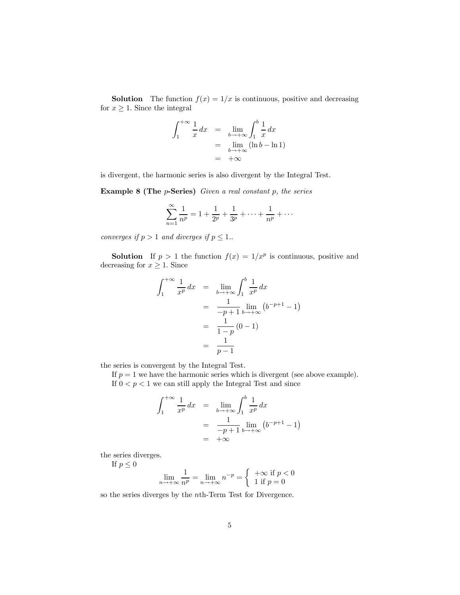**Solution** The function  $f(x) = 1/x$  is continuous, positive and decreasing for  $x \geq 1$ . Since the integral

$$
\int_{1}^{+\infty} \frac{1}{x} dx = \lim_{b \to +\infty} \int_{1}^{b} \frac{1}{x} dx
$$
  
= 
$$
\lim_{b \to +\infty} (\ln b - \ln 1)
$$
  
= 
$$
+\infty
$$

is divergent, the harmonic series is also divergent by the Integral Test.

Example 8 (The  $p$ -Series) Given a real constant  $p$ , the series

$$
\sum_{n=1}^{\infty} \frac{1}{n^p} = 1 + \frac{1}{2^p} + \frac{1}{3^p} + \dots + \frac{1}{n^p} + \dots
$$

converges if  $p > 1$  and diverges if  $p \leq 1$ .

**Solution** If  $p > 1$  the function  $f(x) = 1/x^p$  is continuous, positive and decreasing for  $x \geq 1$ . Since

$$
\int_{1}^{+\infty} \frac{1}{x^{p}} dx = \lim_{b \to +\infty} \int_{1}^{b} \frac{1}{x^{p}} dx
$$
  
= 
$$
\frac{1}{-p+1} \lim_{b \to +\infty} (b^{-p+1} - 1)
$$
  
= 
$$
\frac{1}{1-p} (0 - 1)
$$
  
= 
$$
\frac{1}{p-1}
$$

the series is convergent by the Integral Test.

If  $p = 1$  we have the harmonic series which is divergent (see above example). If  $0 < p < 1$  we can still apply the Integral Test and since

$$
\int_{1}^{+\infty} \frac{1}{x^{p}} dx = \lim_{b \to +\infty} \int_{1}^{b} \frac{1}{x^{p}} dx
$$

$$
= \frac{1}{-p+1} \lim_{b \to +\infty} (b^{-p+1} - 1)
$$

$$
= +\infty
$$

the series diverges.

If  $p \leq 0$ 

$$
\lim_{n \to +\infty} \frac{1}{n^p} = \lim_{n \to +\infty} n^{-p} = \begin{cases} +\infty & \text{if } p < 0 \\ 1 & \text{if } p = 0 \end{cases}
$$

so the series diverges by the nth-Term Test for Divergence.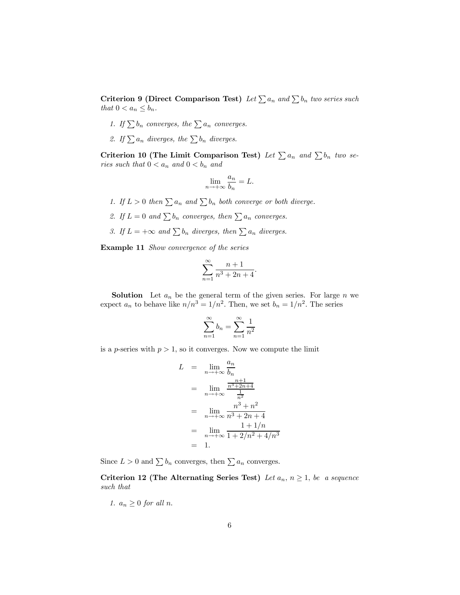Criterion 9 (Direct Comparison Test) Let  $\sum a_n$  and  $\sum b_n$  two series such that  $0 < a_n \leq b_n$ .

- 1. If  $\sum b_n$  converges, the  $\sum a_n$  converges.
- 2. If  $\sum a_n$  diverges, the  $\sum b_n$  diverges.

Criterion 10 (The Limit Comparison Test) Let  $\sum a_n$  and  $\sum b_n$  two series such that  $0 < a_n$  and  $0 < b_n$  and

$$
\lim_{n \to +\infty} \frac{a_n}{b_n} = L.
$$

- 1. If  $L > 0$  then  $\sum a_n$  and  $\sum b_n$  both converge or both diverge.
- 2. If  $L = 0$  and  $\sum b_n$  converges, then  $\sum a_n$  converges.
- 3. If  $L = +\infty$  and  $\sum b_n$  diverges, then  $\sum a_n$  diverges.

Example 11 Show convergence of the series

$$
\sum_{n=1}^{\infty} \frac{n+1}{n^3 + 2n + 4}.
$$

**Solution** Let  $a_n$  be the general term of the given series. For large n we expect  $a_n$  to behave like  $n/n^3 = 1/n^2$ . Then, we set  $b_n = 1/n^2$ . The series

$$
\sum_{n=1}^{\infty} b_n = \sum_{n=1}^{\infty} \frac{1}{n^2}
$$

is a p-series with  $p > 1$ , so it converges. Now we compute the limit

$$
L = \lim_{n \to +\infty} \frac{a_n}{b_n}
$$
  
= 
$$
\lim_{n \to +\infty} \frac{\frac{n+1}{n^3 + 2n + 4}}{\frac{1}{n^2}}
$$
  
= 
$$
\lim_{n \to +\infty} \frac{n^3 + n^2}{n^3 + 2n + 4}
$$
  
= 
$$
\lim_{n \to +\infty} \frac{1 + 1/n}{1 + 2/n^2 + 4/n^3}
$$
  
= 1.

Since  $L > 0$  and  $\sum b_n$  converges, then  $\sum a_n$  converges.

Criterion 12 (The Alternating Series Test) Let  $a_n$ ,  $n \geq 1$ , be a sequence such that

1.  $a_n \geq 0$  for all n.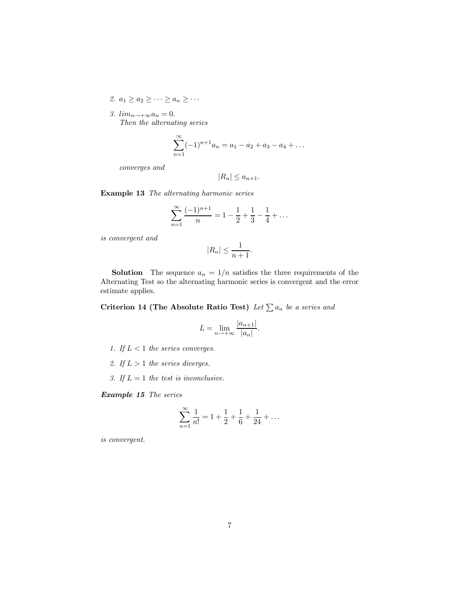2.  $a_1 \geq a_2 \geq \cdots \geq a_n \geq \cdots$ 

3.  $lim_{n\rightarrow+\infty}a_n=0$ . Then the alternating series

$$
\sum_{n=1}^{\infty} (-1)^{n+1} a_n = a_1 - a_2 + a_3 - a_4 + \dots
$$

converges and

$$
|R_n| \le a_{n+1}.
$$

Example 13 The alternating harmonic series

$$
\sum_{n=1}^{\infty} \frac{(-1)^{n+1}}{n} = 1 - \frac{1}{2} + \frac{1}{3} - \frac{1}{4} + \dots
$$

is convergent and

$$
|R_n| \le \frac{1}{n+1}.
$$

**Solution** The sequence  $a_n = 1/n$  satisfies the three requirements of the Alternating Test so the alternating harmonic series is convergent and the error estimate applies.

Criterion 14 (The Absolute Ratio Test) Let  $\sum a_n$  be a series and

$$
L = \lim_{n \to +\infty} \frac{|a_{n+1}|}{|a_n|}.
$$

- 1. If  $L < 1$  the series converges.
- 2. If  $L > 1$  the series diverges.
- 3. If  $L = 1$  the test is inconclusive.

Example 15 The series

$$
\sum_{n=1}^{\infty} \frac{1}{n!} = 1 + \frac{1}{2} + \frac{1}{6} + \frac{1}{24} + \dots
$$

is convergent.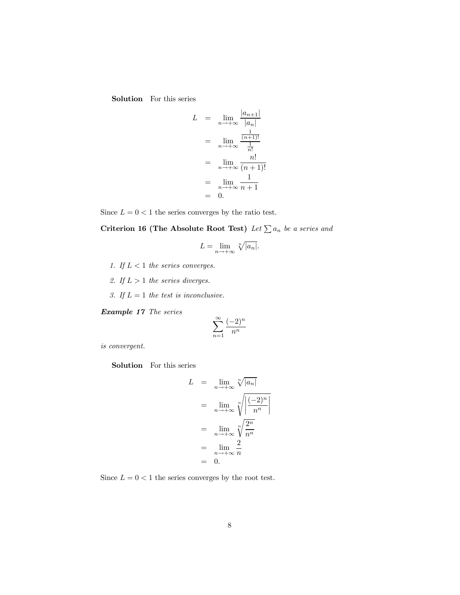Solution For this series

$$
L = \lim_{n \to +\infty} \frac{|a_{n+1}|}{|a_n|}
$$
  
= 
$$
\lim_{n \to +\infty} \frac{\frac{1}{(n+1)!}}{\frac{1}{n!}}
$$
  
= 
$$
\lim_{n \to +\infty} \frac{n!}{(n+1)!}
$$
  
= 
$$
\lim_{n \to +\infty} \frac{1}{n+1}
$$
  
= 0.

Since  $L = 0 < 1$  the series converges by the ratio test.

Criterion 16 (The Absolute Root Test) Let  $\sum a_n$  be a series and

$$
L = \lim_{n \to +\infty} \sqrt[n]{|a_n|}.
$$

- 1. If  $L < 1$  the series converges.
- 2. If  $L > 1$  the series diverges.
- 3. If  $L = 1$  the test is inconclusive.

Example 17 The series

$$
\sum_{n=1}^{\infty} \frac{(-2)^n}{n^n}
$$

is convergent.

Solution For this series

$$
L = \lim_{n \to +\infty} \sqrt[n]{|a_n|}
$$
  
= 
$$
\lim_{n \to +\infty} \sqrt[n]{\frac{(-2)^n}{n^n}}
$$
  
= 
$$
\lim_{n \to +\infty} \sqrt[n]{\frac{2^n}{n^n}}
$$
  
= 
$$
\lim_{n \to +\infty} \frac{2}{n}
$$
  
= 0.

Since  $L=0<1$  the series converges by the root test.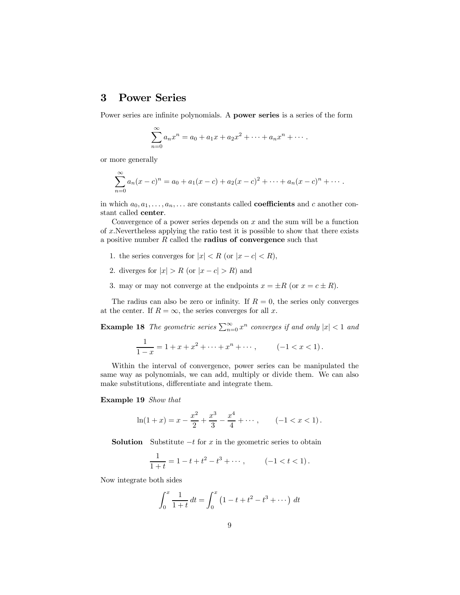## 3 Power Series

Power series are infinite polynomials. A power series is a series of the form

$$
\sum_{n=0}^{\infty} a_n x^n = a_0 + a_1 x + a_2 x^2 + \dots + a_n x^n + \dots
$$

or more generally

$$
\sum_{n=0}^{\infty} a_n(x-c)^n = a_0 + a_1(x-c) + a_2(x-c)^2 + \dots + a_n(x-c)^n + \dots
$$

in which  $a_0, a_1, \ldots, a_n, \ldots$  are constants called **coefficients** and c another constant called center.

Convergence of a power series depends on  $x$  and the sum will be a function of  $x$ . Nevertheless applying the ratio test it is possible to show that there exists a positive number  $R$  called the **radius of convergence** such that

- 1. the series converges for  $|x| < R$  (or  $|x c| < R$ ),
- 2. diverges for  $|x| > R$  (or  $|x c| > R$ ) and
- 3. may or may not converge at the endpoints  $x = \pm R$  (or  $x = c \pm R$ ).

The radius can also be zero or infinity. If  $R = 0$ , the series only converges at the center. If  $R = \infty$ , the series converges for all x.

**Example 18** The geometric series  $\sum_{n=0}^{\infty} x^n$  converges if and only  $|x| < 1$  and

$$
\frac{1}{1-x} = 1 + x + x^2 + \dots + x^n + \dots, \qquad (-1 < x < 1).
$$

Within the interval of convergence, power series can be manipulated the same way as polynomials, we can add, multiply or divide them. We can also make substitutions, differentiate and integrate them.

#### Example 19 Show that

$$
\ln(1+x) = x - \frac{x^2}{2} + \frac{x^3}{3} - \frac{x^4}{4} + \cdots, \qquad (-1 < x < 1).
$$

**Solution** Substitute  $-t$  for x in the geometric series to obtain

$$
\frac{1}{1+t} = 1 - t + t^2 - t^3 + \dots, \qquad (-1 < t < 1).
$$

Now integrate both sides

$$
\int_0^x \frac{1}{1+t} dt = \int_0^x \left(1 - t + t^2 - t^3 + \dots \right) dt
$$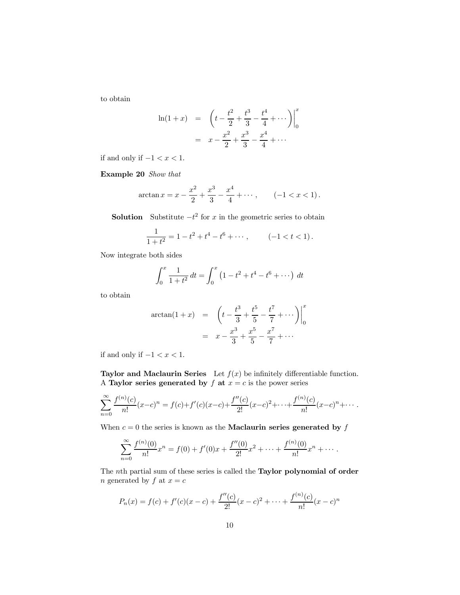to obtain

$$
\ln(1+x) = \left(t - \frac{t^2}{2} + \frac{t^3}{3} - \frac{t^4}{4} + \cdots\right)\Big|_0^x
$$

$$
= x - \frac{x^2}{2} + \frac{x^3}{3} - \frac{x^4}{4} + \cdots
$$

if and only if  $-1 < x < 1$ .

Example 20 Show that

$$
\arctan x = x - \frac{x^2}{2} + \frac{x^3}{3} - \frac{x^4}{4} + \dotsb, \qquad (-1 < x < 1).
$$

**Solution** Substitute  $-t^2$  for x in the geometric series to obtain

$$
\frac{1}{1+t^2} = 1 - t^2 + t^4 - t^6 + \dotsb, \qquad (-1 < t < 1).
$$

Now integrate both sides

$$
\int_0^x \frac{1}{1+t^2} dt = \int_0^x \left(1 - t^2 + t^4 - t^6 + \dots \right) dt
$$

to obtain

$$
\arctan(1+x) = \left(t - \frac{t^3}{3} + \frac{t^5}{5} - \frac{t^7}{7} + \cdots\right)\Big|_0^x
$$

$$
= x - \frac{x^3}{3} + \frac{x^5}{5} - \frac{x^7}{7} + \cdots
$$

if and only if  $-1 < x < 1$ .

Taylor and Maclaurin Series Let  $f(x)$  be infinitely differentiable function. A Taylor series generated by  $f$  at  $x = c$  is the power series

$$
\sum_{n=0}^{\infty} \frac{f^{(n)}(c)}{n!} (x-c)^n = f(c) + f'(c)(x-c) + \frac{f''(c)}{2!} (x-c)^2 + \dots + \frac{f^{(n)}(c)}{n!} (x-c)^n + \dots
$$

When  $c = 0$  the series is known as the **Maclaurin series generated by**  $f$ 

$$
\sum_{n=0}^{\infty} \frac{f^{(n)}(0)}{n!} x^n = f(0) + f'(0)x + \frac{f''(0)}{2!}x^2 + \dots + \frac{f^{(n)}(0)}{n!}x^n + \dots
$$

The nth partial sum of these series is called the Taylor polynomial of order n generated by  $f$  at  $x = c$ 

$$
P_n(x) = f(c) + f'(c)(x - c) + \frac{f''(c)}{2!}(x - c)^2 + \dots + \frac{f^{(n)}(c)}{n!}(x - c)^n
$$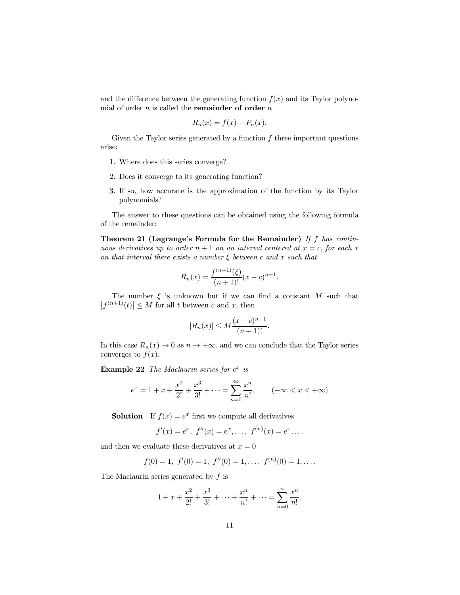and the difference between the generating function  $f(x)$  and its Taylor polynomial of order  $n$  is called the **remainder of order**  $n$ 

$$
R_n(x) = f(x) - P_n(x).
$$

Given the Taylor series generated by a function  $f$  three important questions arise:

- 1. Where does this series converge?
- 2. Does it converge to its generating function?
- 3. If so, how accurate is the approximation of the function by its Taylor polynomials?

The answer to these questions can be obtained using the following formula of the remainder:

Theorem 21 (Lagrange's Formula for the Remainder) If  $f$  has continuous derivatives up to order  $n + 1$  on an interval centered at  $x = c$ , for each x on that interval there exists a number  $\xi$  between c and x such that

$$
R_n(x) = \frac{f^{(n+1)}(\xi)}{(n+1)!} (x-c)^{n+1}.
$$

The number  $\xi$  is unknown but if we can find a constant M such that  $|f^{(n+1)}(t)| \leq M$  for all t between c and x, then

$$
|R_n(x)| \le M \frac{(x-c)^{n+1}}{(n+1)!}.
$$

In this case  $R_n(x) \to 0$  as  $n \to +\infty$ , and we can conclude that the Taylor series converges to  $f(x)$ .

**Example 22** The Maclaurin series for  $e^x$  is

$$
e^x = 1 + x + \frac{x^2}{2!} + \frac{x^3}{3!} + \dots = \sum_{n=0}^{\infty} \frac{x^n}{n!}, \qquad (-\infty < x < +\infty)
$$

**Solution** If  $f(x) = e^x$  first we compute all derivatives

$$
f'(x) = e^x
$$
,  $f''(x) = e^x$ , ...,  $f^{(n)}(x) = e^x$ , ...

and then we evaluate these derivatives at  $x = 0$ 

$$
f(0) = 1
$$
,  $f'(0) = 1$ ,  $f''(0) = 1$ , ...,  $f^{(n)}(0) = 1$ , ...

The Maclaurin series generated by  $f$  is

$$
1 + x + \frac{x^2}{2!} + \frac{x^3}{3!} + \dots + \frac{x^n}{n!} + \dots = \sum_{n=0}^{\infty} \frac{x^n}{n!}.
$$